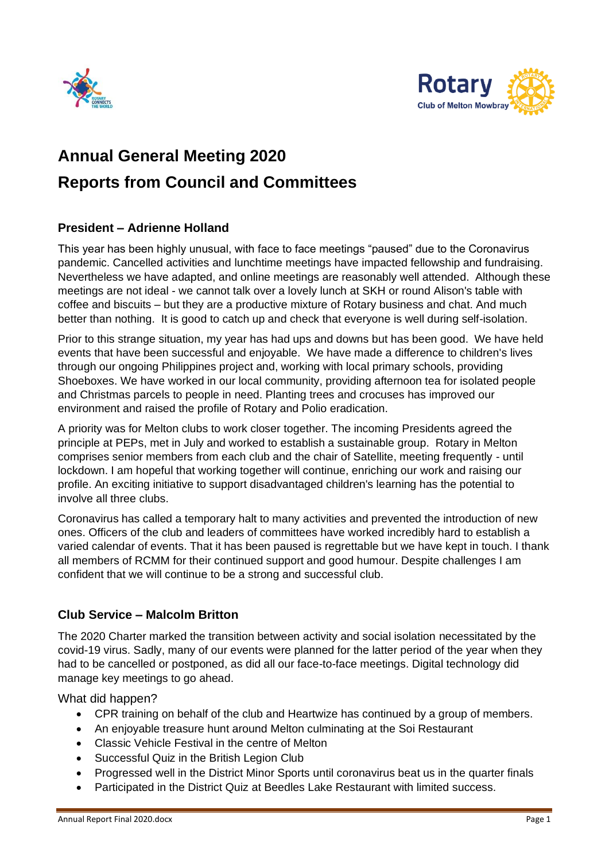



# **Annual General Meeting 2020 Reports from Council and Committees**

## **President – Adrienne Holland**

This year has been highly unusual, with face to face meetings "paused" due to the Coronavirus pandemic. Cancelled activities and lunchtime meetings have impacted fellowship and fundraising. Nevertheless we have adapted, and online meetings are reasonably well attended. Although these meetings are not ideal - we cannot talk over a lovely lunch at SKH or round Alison's table with coffee and biscuits – but they are a productive mixture of Rotary business and chat. And much better than nothing. It is good to catch up and check that everyone is well during self-isolation.

Prior to this strange situation, my year has had ups and downs but has been good. We have held events that have been successful and enjoyable. We have made a difference to children's lives through our ongoing Philippines project and, working with local primary schools, providing Shoeboxes. We have worked in our local community, providing afternoon tea for isolated people and Christmas parcels to people in need. Planting trees and crocuses has improved our environment and raised the profile of Rotary and Polio eradication.

A priority was for Melton clubs to work closer together. The incoming Presidents agreed the principle at PEPs, met in July and worked to establish a sustainable group. Rotary in Melton comprises senior members from each club and the chair of Satellite, meeting frequently - until lockdown. I am hopeful that working together will continue, enriching our work and raising our profile. An exciting initiative to support disadvantaged children's learning has the potential to involve all three clubs.

Coronavirus has called a temporary halt to many activities and prevented the introduction of new ones. Officers of the club and leaders of committees have worked incredibly hard to establish a varied calendar of events. That it has been paused is regrettable but we have kept in touch. I thank all members of RCMM for their continued support and good humour. Despite challenges I am confident that we will continue to be a strong and successful club.

### **Club Service – Malcolm Britton**

The 2020 Charter marked the transition between activity and social isolation necessitated by the covid-19 virus. Sadly, many of our events were planned for the latter period of the year when they had to be cancelled or postponed, as did all our face-to-face meetings. Digital technology did manage key meetings to go ahead.

What did happen?

- CPR training on behalf of the club and Heartwize has continued by a group of members.
- An enjoyable treasure hunt around Melton culminating at the Soi Restaurant
- Classic Vehicle Festival in the centre of Melton
- Successful Quiz in the British Legion Club
- Progressed well in the District Minor Sports until coronavirus beat us in the quarter finals
- Participated in the District Quiz at Beedles Lake Restaurant with limited success.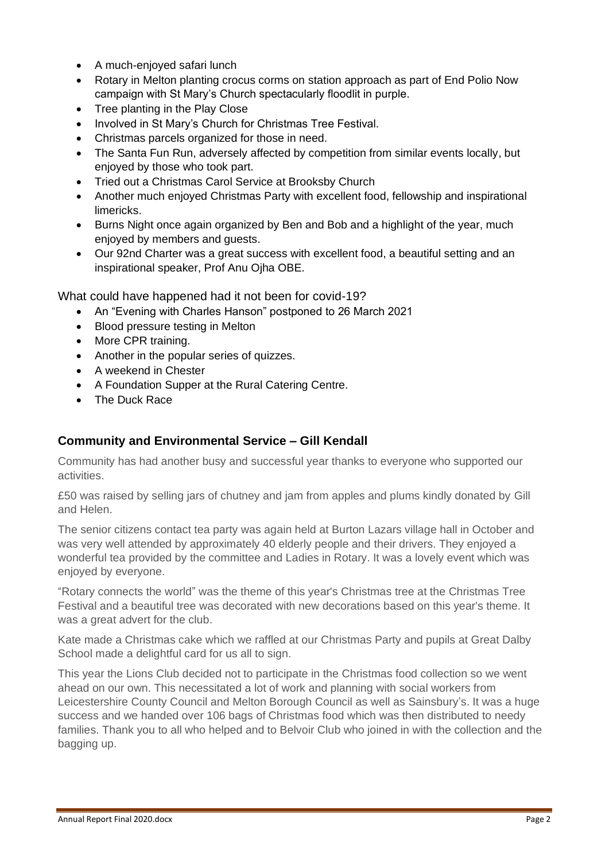- A much-enjoyed safari lunch
- Rotary in Melton planting crocus corms on station approach as part of End Polio Now campaign with St Mary's Church spectacularly floodlit in purple.
- Tree planting in the Play Close
- Involved in St Mary's Church for Christmas Tree Festival.
- Christmas parcels organized for those in need.
- The Santa Fun Run, adversely affected by competition from similar events locally, but enjoyed by those who took part.
- Tried out a Christmas Carol Service at Brooksby Church
- Another much enjoyed Christmas Party with excellent food, fellowship and inspirational limericks.
- Burns Night once again organized by Ben and Bob and a highlight of the year, much enjoyed by members and guests.
- Our 92nd Charter was a great success with excellent food, a beautiful setting and an inspirational speaker, Prof Anu Ojha OBE.

What could have happened had it not been for covid-19?

- An "Evening with Charles Hanson" postponed to 26 March 2021
- Blood pressure testing in Melton
- More CPR training.
- Another in the popular series of quizzes.
- A weekend in Chester
- A Foundation Supper at the Rural Catering Centre.
- The Duck Race

#### **Community and Environmental Service – Gill Kendall**

Community has had another busy and successful year thanks to everyone who supported our activities.

£50 was raised by selling jars of chutney and jam from apples and plums kindly donated by Gill and Helen.

The senior citizens contact tea party was again held at Burton Lazars village hall in October and was very well attended by approximately 40 elderly people and their drivers. They enjoyed a wonderful tea provided by the committee and Ladies in Rotary. It was a lovely event which was enjoyed by everyone.

"Rotary connects the world" was the theme of this year's Christmas tree at the Christmas Tree Festival and a beautiful tree was decorated with new decorations based on this year's theme. It was a great advert for the club.

Kate made a Christmas cake which we raffled at our Christmas Party and pupils at Great Dalby School made a delightful card for us all to sign.

This year the Lions Club decided not to participate in the Christmas food collection so we went ahead on our own. This necessitated a lot of work and planning with social workers from Leicestershire County Council and Melton Borough Council as well as Sainsbury's. It was a huge success and we handed over 106 bags of Christmas food which was then distributed to needy families. Thank you to all who helped and to Belvoir Club who joined in with the collection and the bagging up.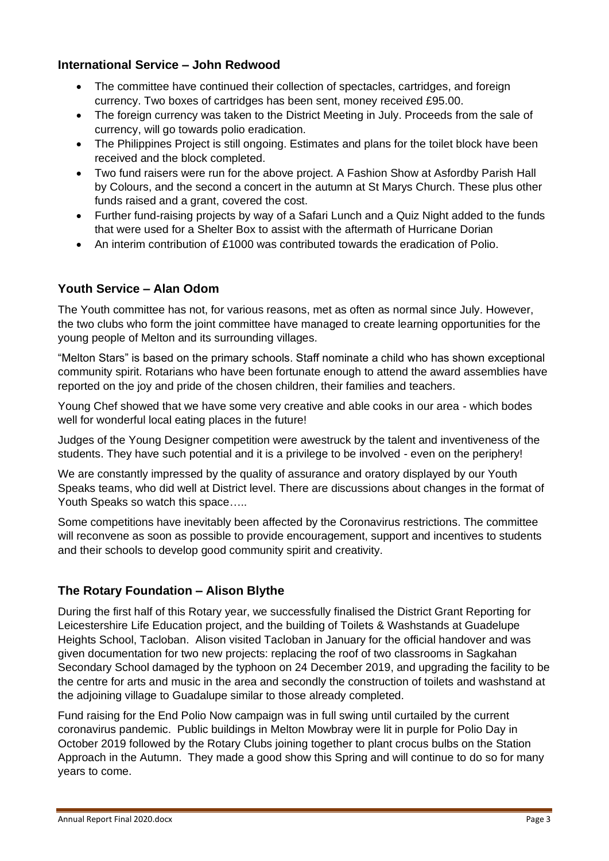#### **International Service – John Redwood**

- The committee have continued their collection of spectacles, cartridges, and foreign currency. Two boxes of cartridges has been sent, money received £95.00.
- The foreign currency was taken to the District Meeting in July. Proceeds from the sale of currency, will go towards polio eradication.
- The Philippines Project is still ongoing. Estimates and plans for the toilet block have been received and the block completed.
- Two fund raisers were run for the above project. A Fashion Show at Asfordby Parish Hall by Colours, and the second a concert in the autumn at St Marys Church. These plus other funds raised and a grant, covered the cost.
- Further fund-raising projects by way of a Safari Lunch and a Quiz Night added to the funds that were used for a Shelter Box to assist with the aftermath of Hurricane Dorian
- An interim contribution of £1000 was contributed towards the eradication of Polio.

#### **Youth Service – Alan Odom**

The Youth committee has not, for various reasons, met as often as normal since July. However, the two clubs who form the joint committee have managed to create learning opportunities for the young people of Melton and its surrounding villages.

"Melton Stars" is based on the primary schools. Staff nominate a child who has shown exceptional community spirit. Rotarians who have been fortunate enough to attend the award assemblies have reported on the joy and pride of the chosen children, their families and teachers.

Young Chef showed that we have some very creative and able cooks in our area - which bodes well for wonderful local eating places in the future!

Judges of the Young Designer competition were awestruck by the talent and inventiveness of the students. They have such potential and it is a privilege to be involved - even on the periphery!

We are constantly impressed by the quality of assurance and oratory displayed by our Youth Speaks teams, who did well at District level. There are discussions about changes in the format of Youth Speaks so watch this space…..

Some competitions have inevitably been affected by the Coronavirus restrictions. The committee will reconvene as soon as possible to provide encouragement, support and incentives to students and their schools to develop good community spirit and creativity.

### **The Rotary Foundation – Alison Blythe**

During the first half of this Rotary year, we successfully finalised the District Grant Reporting for Leicestershire Life Education project, and the building of Toilets & Washstands at Guadelupe Heights School, Tacloban. Alison visited Tacloban in January for the official handover and was given documentation for two new projects: replacing the roof of two classrooms in Sagkahan Secondary School damaged by the typhoon on 24 December 2019, and upgrading the facility to be the centre for arts and music in the area and secondly the construction of toilets and washstand at the adjoining village to Guadalupe similar to those already completed.

Fund raising for the End Polio Now campaign was in full swing until curtailed by the current coronavirus pandemic. Public buildings in Melton Mowbray were lit in purple for Polio Day in October 2019 followed by the Rotary Clubs joining together to plant crocus bulbs on the Station Approach in the Autumn. They made a good show this Spring and will continue to do so for many years to come.